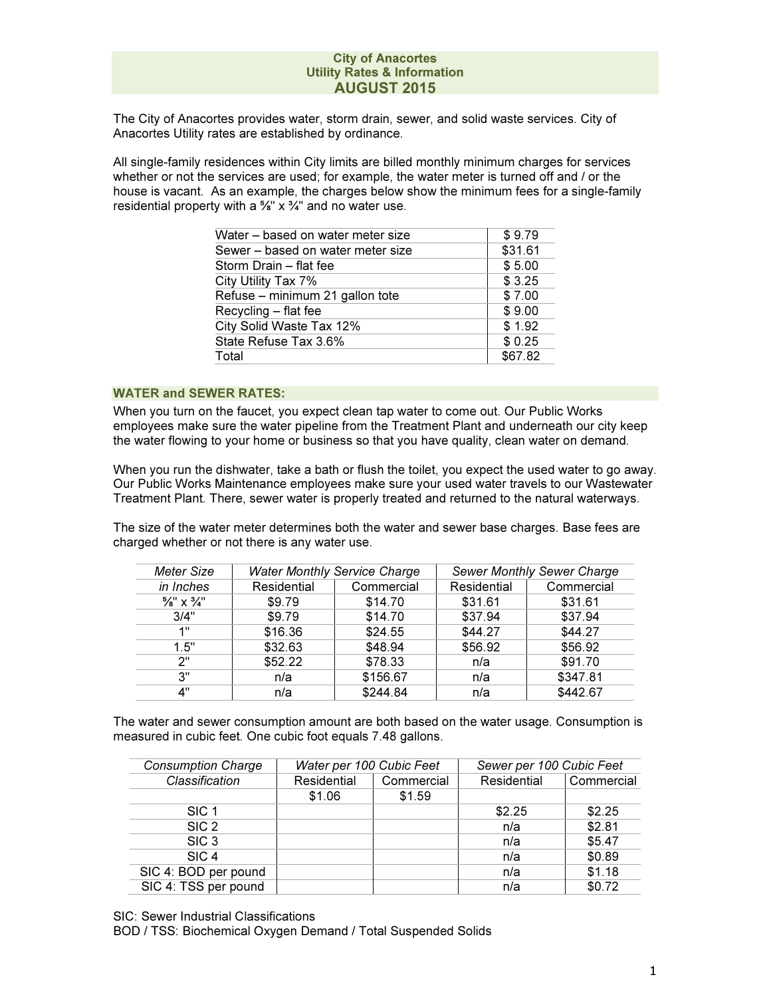The City of Anacortes provides water, storm drain, sewer, and solid waste services. City of Anacortes Utility rates are established by ordinance.

All single-family residences within City limits are billed monthly minimum charges for services whether or not the services are used; for example, the water meter is turned off and / or the house is vacant. As an example, the charges below show the minimum fees for a single-family residential property with a  $\frac{5}{8}$ " x  $\frac{3}{4}$ " and no water use.

| Water – based on water meter size | \$9.79  |
|-----------------------------------|---------|
| Sewer – based on water meter size | \$31.61 |
| Storm Drain - flat fee            | \$5.00  |
| City Utility Tax 7%               | \$3.25  |
| Refuse - minimum 21 gallon tote   | \$7.00  |
| Recycling - flat fee              | \$9.00  |
| City Solid Waste Tax 12%          | \$1.92  |
| State Refuse Tax 3.6%             | \$0.25  |
| Total                             | \$67.82 |
|                                   |         |

## WATER and SEWER RATES:

When you turn on the faucet, you expect clean tap water to come out. Our Public Works employees make sure the water pipeline from the Treatment Plant and underneath our city keep the water flowing to your home or business so that you have quality, clean water on demand.

When you run the dishwater, take a bath or flush the toilet, you expect the used water to go away. Our Public Works Maintenance employees make sure your used water travels to our Wastewater Treatment Plant. There, sewer water is properly treated and returned to the natural waterways.

The size of the water meter determines both the water and sewer base charges. Base fees are charged whether or not there is any water use.

| Meter Size                        | <b>Water Monthly Service Charge</b> |            |             | <b>Sewer Monthly Sewer Charge</b> |
|-----------------------------------|-------------------------------------|------------|-------------|-----------------------------------|
| in Inches                         | Residential                         | Commercial | Residential | Commercial                        |
| $\frac{5}{8}$ " X $\frac{3}{4}$ " | \$9.79                              | \$14.70    | \$31.61     | \$31.61                           |
| 3/4"                              | \$9.79                              | \$14.70    | \$37.94     | \$37.94                           |
| 1"                                | \$16.36                             | \$24.55    | \$44.27     | \$44.27                           |
| 1.5"                              | \$32.63                             | \$48.94    | \$56.92     | \$56.92                           |
| ን"                                | \$52.22                             | \$78.33    | n/a         | \$91.70                           |
| 3"                                | n/a                                 | \$156.67   | n/a         | \$347.81                          |
| 4"                                | n/a                                 | \$244.84   | n/a         | \$442.67                          |

The water and sewer consumption amount are both based on the water usage. Consumption is measured in cubic feet. One cubic foot equals 7.48 gallons.

| <b>Consumption Charge</b> | Water per 100 Cubic Feet |            | Sewer per 100 Cubic Feet |            |
|---------------------------|--------------------------|------------|--------------------------|------------|
| Classification            | Residential              | Commercial | Residential              | Commercial |
|                           | \$1.06                   | \$1.59     |                          |            |
| SIC <sub>1</sub>          |                          |            | \$2.25                   | \$2.25     |
| SIC <sub>2</sub>          |                          |            | n/a                      | \$2.81     |
| SIC <sub>3</sub>          |                          |            | n/a                      | \$5.47     |
| SIC <sub>4</sub>          |                          |            | n/a                      | \$0.89     |
| SIC 4: BOD per pound      |                          |            | n/a                      | \$1.18     |
| SIC 4: TSS per pound      |                          |            | n/a                      | \$0.72     |

SIC: Sewer Industrial Classifications

BOD / TSS: Biochemical Oxygen Demand / Total Suspended Solids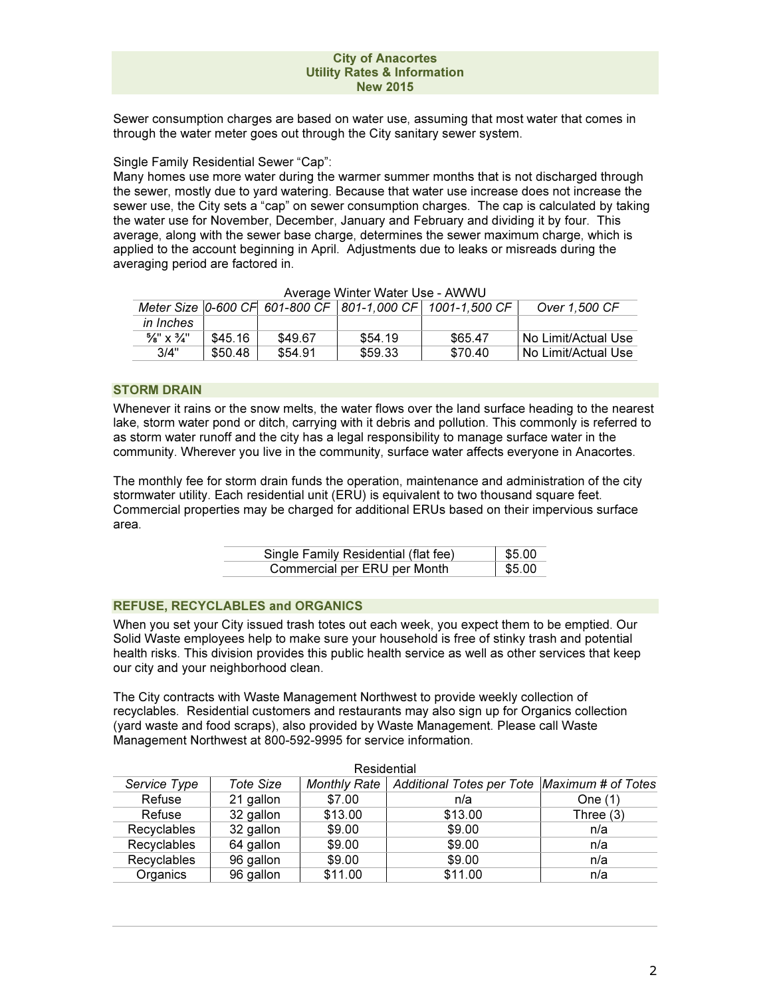Sewer consumption charges are based on water use, assuming that most water that comes in through the water meter goes out through the City sanitary sewer system.

Single Family Residential Sewer "Cap":

Many homes use more water during the warmer summer months that is not discharged through the sewer, mostly due to yard watering. Because that water use increase does not increase the sewer use, the City sets a "cap" on sewer consumption charges. The cap is calculated by taking the water use for November, December, January and February and dividing it by four. This average, along with the sewer base charge, determines the sewer maximum charge, which is applied to the account beginning in April. Adjustments due to leaks or misreads during the averaging period are factored in.

|                                   |         |         |         | Meter Size   0-600 CF   601-800 CF   801-1,000 CF   1001-1,500 CF | Over 1,500 CF         |
|-----------------------------------|---------|---------|---------|-------------------------------------------------------------------|-----------------------|
| <i>in Inches</i>                  |         |         |         |                                                                   |                       |
| $\frac{5}{8}$ " x $\frac{3}{4}$ " | \$45.16 | \$49.67 | \$54.19 | \$65.47                                                           | I No Limit/Actual Use |
| 3/4"                              | \$50.48 | \$54.91 | \$59.33 | \$70.40                                                           | I No Limit/Actual Use |

Average Winter Water Use - AWWU

# STORM DRAIN

Whenever it rains or the snow melts, the water flows over the land surface heading to the nearest lake, storm water pond or ditch, carrying with it debris and pollution. This commonly is referred to as storm water runoff and the city has a legal responsibility to manage surface water in the community. Wherever you live in the community, surface water affects everyone in Anacortes.

The monthly fee for storm drain funds the operation, maintenance and administration of the city stormwater utility. Each residential unit (ERU) is equivalent to two thousand square feet. Commercial properties may be charged for additional ERUs based on their impervious surface area.

| Single Family Residential (flat fee) | $1$ \$5.00           |
|--------------------------------------|----------------------|
| Commercial per ERU per Month         | $\frac{1}{2}$ \$5.00 |

# REFUSE, RECYCLABLES and ORGANICS

When you set your City issued trash totes out each week, you expect them to be emptied. Our Solid Waste employees help to make sure your household is free of stinky trash and potential health risks. This division provides this public health service as well as other services that keep our city and your neighborhood clean.

The City contracts with Waste Management Northwest to provide weekly collection of recyclables. Residential customers and restaurants may also sign up for Organics collection (yard waste and food scraps), also provided by Waste Management. Please call Waste Management Northwest at 800-592-9995 for service information.

| Residential  |           |                     |                                              |             |
|--------------|-----------|---------------------|----------------------------------------------|-------------|
| Service Type | Tote Size | <b>Monthly Rate</b> | Additional Totes per Tote Maximum # of Totes |             |
| Refuse       | 21 gallon | \$7.00              | n/a                                          | One $(1)$   |
| Refuse       | 32 gallon | \$13.00             | \$13.00                                      | Three $(3)$ |
| Recyclables  | 32 gallon | \$9.00              | \$9.00                                       | n/a         |
| Recyclables  | 64 gallon | \$9.00              | \$9.00                                       | n/a         |
| Recyclables  | 96 gallon | \$9.00              | \$9.00                                       | n/a         |
| Organics     | 96 gallon | \$11.00             | \$11.00                                      | n/a         |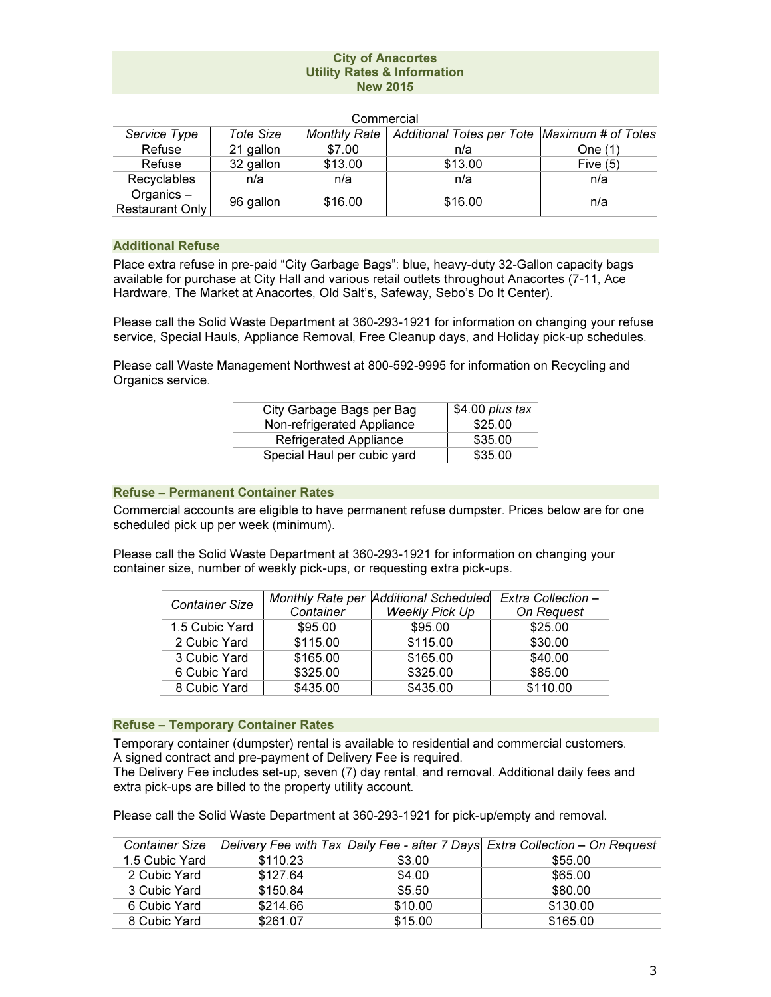|                                 |           | <b>UUITIITEIUAI</b> |                                              |            |
|---------------------------------|-----------|---------------------|----------------------------------------------|------------|
| Service Type                    | Tote Size | Monthly Rate        | Additional Totes per Tote Maximum # of Totes |            |
| Refuse                          | 21 gallon | \$7.00              | n/a                                          | One (1)    |
| Refuse                          | 32 gallon | \$13.00             | \$13.00                                      | Five $(5)$ |
| Recyclables                     | n/a       | n/a                 | n/a                                          | n/a        |
| Organics $-$<br>Restaurant Only | 96 gallon | \$16.00             | \$16.00                                      | n/a        |

# Commercial

# Additional Refuse

Place extra refuse in pre-paid "City Garbage Bags": blue, heavy-duty 32-Gallon capacity bags available for purchase at City Hall and various retail outlets throughout Anacortes (7-11, Ace Hardware, The Market at Anacortes, Old Salt's, Safeway, Sebo's Do It Center).

Please call the Solid Waste Department at 360-293-1921 for information on changing your refuse service, Special Hauls, Appliance Removal, Free Cleanup days, and Holiday pick-up schedules.

Please call Waste Management Northwest at 800-592-9995 for information on Recycling and Organics service.

| City Garbage Bags per Bag     | $$4.00$ plus tax |
|-------------------------------|------------------|
| Non-refrigerated Appliance    | \$25.00          |
| <b>Refrigerated Appliance</b> | \$35.00          |
| Special Haul per cubic yard   | \$35.00          |

# Refuse – Permanent Container Rates

Commercial accounts are eligible to have permanent refuse dumpster. Prices below are for one scheduled pick up per week (minimum).

Please call the Solid Waste Department at 360-293-1921 for information on changing your container size, number of weekly pick-ups, or requesting extra pick-ups.

| <b>Container Size</b> |           | Monthly Rate per Additional Scheduled | Extra Collection - |
|-----------------------|-----------|---------------------------------------|--------------------|
|                       | Container | <b>Weekly Pick Up</b>                 | On Request         |
| 1.5 Cubic Yard        | \$95.00   | \$95.00                               | \$25.00            |
| 2 Cubic Yard          | \$115.00  | \$115.00                              | \$30.00            |
| 3 Cubic Yard          | \$165.00  | \$165.00                              | \$40.00            |
| 6 Cubic Yard          | \$325.00  | \$325.00                              | \$85.00            |
| 8 Cubic Yard          | \$435.00  | \$435.00                              | \$110.00           |

### Refuse – Temporary Container Rates

Temporary container (dumpster) rental is available to residential and commercial customers. A signed contract and pre-payment of Delivery Fee is required.

The Delivery Fee includes set-up, seven (7) day rental, and removal. Additional daily fees and extra pick-ups are billed to the property utility account.

Please call the Solid Waste Department at 360-293-1921 for pick-up/empty and removal.

| <b>Container Size</b> |          |         | Delivery Fee with Tax Daily Fee - after 7 Days Extra Collection - On Request |
|-----------------------|----------|---------|------------------------------------------------------------------------------|
| 1.5 Cubic Yard        | \$110.23 | \$3.00  | \$55.00                                                                      |
| 2 Cubic Yard          | \$127.64 | \$4.00  | \$65.00                                                                      |
| 3 Cubic Yard          | \$150.84 | \$5.50  | \$80.00                                                                      |
| 6 Cubic Yard          | \$214.66 | \$10.00 | \$130.00                                                                     |
| 8 Cubic Yard          | \$261.07 | \$15.00 | \$165.00                                                                     |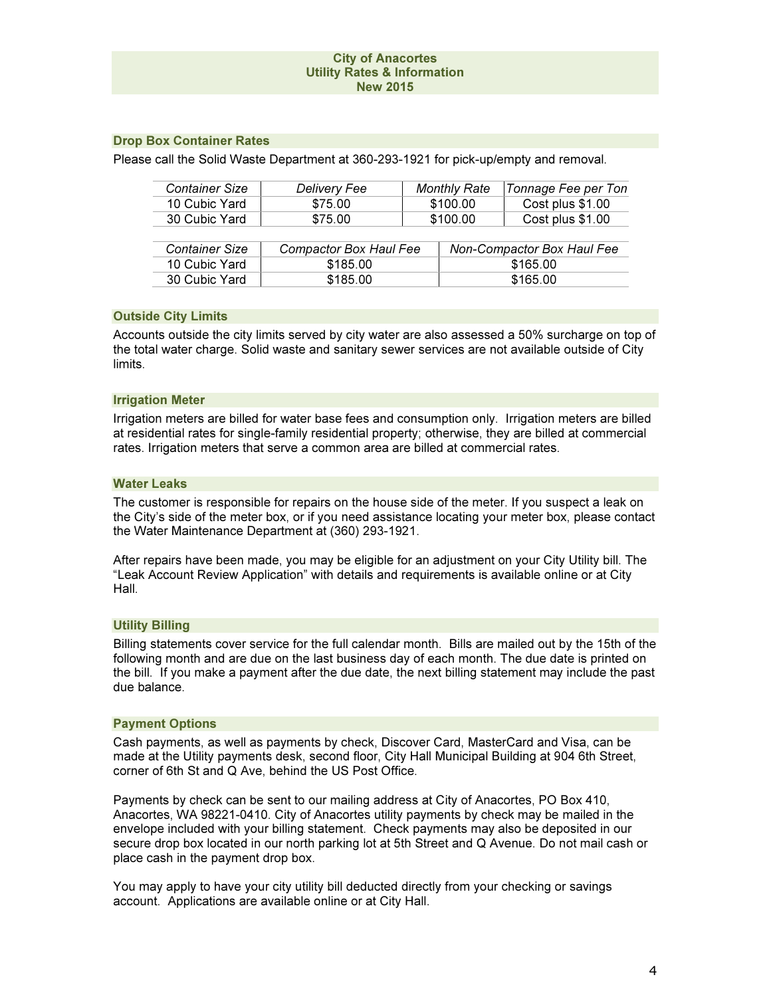# Drop Box Container Rates

Please call the Solid Waste Department at 360-293-1921 for pick-up/empty and removal.

| <b>Container Size</b> | <b>Delivery Fee</b>    |  | <b>Monthly Rate</b> | Tonnage Fee per Ton        |
|-----------------------|------------------------|--|---------------------|----------------------------|
| 10 Cubic Yard         | \$75.00                |  | \$100.00            | Cost plus \$1.00           |
| 30 Cubic Yard         | \$75.00                |  | \$100.00            | Cost plus \$1.00           |
|                       |                        |  |                     |                            |
| Container Size        | Compactor Box Haul Fee |  |                     | Non-Compactor Box Haul Fee |
| 10 Cubic Yard         | \$185.00               |  | \$165.00            |                            |
| 30 Cubic Yard         | \$185.00               |  |                     | \$165.00                   |

## Outside City Limits

Accounts outside the city limits served by city water are also assessed a 50% surcharge on top of the total water charge. Solid waste and sanitary sewer services are not available outside of City limits.

#### Irrigation Meter

Irrigation meters are billed for water base fees and consumption only. Irrigation meters are billed at residential rates for single-family residential property; otherwise, they are billed at commercial rates. Irrigation meters that serve a common area are billed at commercial rates.

### Water Leaks

The customer is responsible for repairs on the house side of the meter. If you suspect a leak on the City's side of the meter box, or if you need assistance locating your meter box, please contact the Water Maintenance Department at (360) 293-1921.

After repairs have been made, you may be eligible for an adjustment on your City Utility bill. The "Leak Account Review Application" with details and requirements is available online or at City Hall.

## Utility Billing

Billing statements cover service for the full calendar month. Bills are mailed out by the 15th of the following month and are due on the last business day of each month. The due date is printed on the bill. If you make a payment after the due date, the next billing statement may include the past due balance.

### Payment Options

Cash payments, as well as payments by check, Discover Card, MasterCard and Visa, can be made at the Utility payments desk, second floor, City Hall Municipal Building at 904 6th Street, corner of 6th St and Q Ave, behind the US Post Office.

Payments by check can be sent to our mailing address at City of Anacortes, PO Box 410, Anacortes, WA 98221-0410. City of Anacortes utility payments by check may be mailed in the envelope included with your billing statement. Check payments may also be deposited in our secure drop box located in our north parking lot at 5th Street and Q Avenue. Do not mail cash or place cash in the payment drop box.

You may apply to have your city utility bill deducted directly from your checking or savings account. Applications are available online or at City Hall.